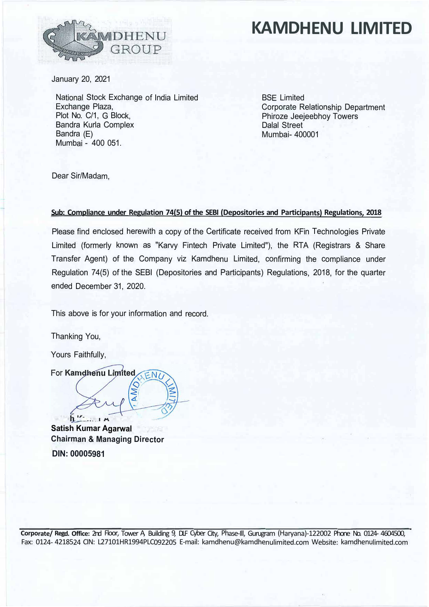

## **KAMDHENU LIMITED**

January 20, 2021

National Stock Exchange of India Limited Exchange Plaza, Plot No. C/1, G Block, Bandra Kurla Complex Bandra (E) Mumbai - 400 051.

BSE Limited Corporate Relationship Department Phiroze Jeejeebhoy Towers Dalal Street Mumbai- 400001

Dear Sir/Madam,

## **Sub: Compliance under Regulation 74(5) of the SEBI (Depositories and Participants) Regulations, 2018**

Please find enclosed herewith a copy of the Certificate received from KFin Technologies Private Limited (formerly known as "Karvy Fintech Private Limited"), the RTA (Registrars & Share Transfer Agent) of the Company viz Kamdhenu Limited, confirming the compliance under Regulation 74(5) of the SEBI (Depositories and Participants) Regulations, 2018, for the quarter ended December 31, 2020.

This above is for your information and record.

Thanking You,

Yours Faithfully,

 $\hat{h}$ 

For Kamdhenu Limited

**Satish Kumar Agarwal Chairman & Managing Director DIN: 00005981**

**Corporate/ Regd. Office:** 2nd Floor, Tower A, Building 9, DLF Cyber City, Phase-Ill, Gurugram (Haryana)-122002 Phone No. 0124- 4604500, Fax: 0124- 4218524 CIN: L27101HR1994PLC092205 E-mail: kamdhenu@kamdhenulimited.com Website: kamdhenulimited.com